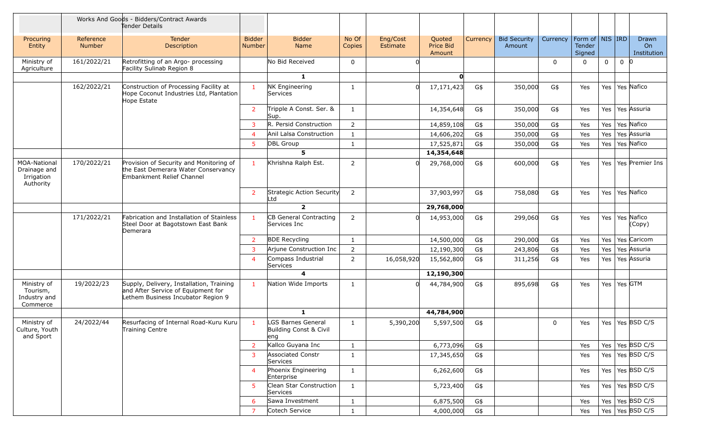|                                                                |                            | Works And Goods - Bidders/Contract Awards<br>Tender Details                                                          |                                |                                                           |                 |                      |                               |          |                               |              |                                         |             |                |                            |
|----------------------------------------------------------------|----------------------------|----------------------------------------------------------------------------------------------------------------------|--------------------------------|-----------------------------------------------------------|-----------------|----------------------|-------------------------------|----------|-------------------------------|--------------|-----------------------------------------|-------------|----------------|----------------------------|
| Procuring<br>Entity                                            | Reference<br><b>Number</b> | Tender<br>Description                                                                                                | <b>Bidder</b><br><b>Number</b> | <b>Bidder</b><br>Name                                     | No Of<br>Copies | Eng/Cost<br>Estimate | Quoted<br>Price Bid<br>Amount | Currency | <b>Bid Security</b><br>Amount | Currency     | Form of   NIS   IRD<br>Tender<br>Signed |             |                | Drawn<br>On<br>Institution |
| Ministry of<br>Agriculture                                     | 161/2022/21                | Retrofitting of an Argo- processing<br>Facility Sulinab Region 8                                                     |                                | No Bid Received                                           | $\mathbf 0$     |                      |                               |          |                               | $\Omega$     | $\mathbf 0$                             | $\mathbf 0$ | $\overline{0}$ | 10                         |
|                                                                |                            |                                                                                                                      |                                | $\mathbf{1}$                                              |                 |                      | $\mathbf{0}$                  |          |                               |              |                                         |             |                |                            |
|                                                                | 162/2022/21                | Construction of Processing Facility at<br>Hope Coconut Industries Ltd, Plantation<br>Hope Estate                     | $\mathbf{1}$                   | NK Engineering<br>Services                                | 1               |                      | 17, 171, 423                  | G\$      | 350,000                       | G\$          | Yes                                     | Yes         |                | Yes Nafico                 |
|                                                                |                            |                                                                                                                      | $\overline{2}$                 | Tripple A Const. Ser. &<br>Sup.                           | 1               |                      | 14,354,648                    | G\$      | 350,000                       | G\$          | Yes                                     | Yes         |                | Yes Assuria                |
|                                                                |                            |                                                                                                                      | 3                              | R. Persid Construction                                    | 2               |                      | 14,859,108                    | G\$      | 350,000                       | G\$          | Yes                                     | Yes         |                | Yes Nafico                 |
|                                                                |                            |                                                                                                                      | $\overline{4}$                 | Anil Lalsa Construction                                   | 1               |                      | 14,606,202                    | G\$      | 350,000                       | G\$          | Yes                                     | Yes         |                | Yes Assuria                |
|                                                                |                            |                                                                                                                      | 5                              | <b>DBL Group</b>                                          | 1               |                      | 17,525,871                    | G\$      | 350,000                       | G\$          | Yes                                     | Yes         |                | Yes Nafico                 |
|                                                                |                            |                                                                                                                      |                                | 5                                                         |                 |                      | 14,354,648                    |          |                               |              |                                         |             |                |                            |
| <b>MOA-National</b><br>Drainage and<br>Irrigation<br>Authority | 170/2022/21                | Provision of Security and Monitoring of<br>the East Demerara Water Conservancy<br>Embankment Relief Channel          | $\mathbf{1}$                   | Khrishna Ralph Est.                                       | 2               |                      | 29,768,000                    | G\$      | 600,000                       | G\$          | Yes                                     | Yes         |                | Yes Premier Ins            |
|                                                                |                            |                                                                                                                      | $\overline{2}$                 | Strategic Action Security<br>Ltd                          | $\overline{2}$  |                      | 37,903,997                    | G\$      | 758,080                       | G\$          | Yes                                     | Yes         |                | Yes Nafico                 |
|                                                                |                            |                                                                                                                      |                                | $\overline{2}$                                            |                 |                      | 29,768,000                    |          |                               |              |                                         |             |                |                            |
|                                                                | 171/2022/21                | Fabrication and Installation of Stainless<br>Steel Door at Bagotstown East Bank<br>Demerara                          | $\mathbf{1}$                   | CB General Contracting<br>Services Inc                    | $\overline{2}$  | <sup>n</sup>         | 14,953,000                    | G\$      | 299,060                       | G\$          | Yes                                     | Yes         |                | Yes Nafico<br>(Copy)       |
|                                                                |                            |                                                                                                                      | $\overline{2}$                 | <b>BDE Recycling</b>                                      | 1               |                      | 14,500,000                    | G\$      | 290,000                       | G\$          | Yes                                     | Yes         |                | Yes Caricom                |
|                                                                |                            |                                                                                                                      | 3                              | Arjune Construction Inc                                   | $\overline{2}$  |                      | 12,190,300                    | G\$      | 243,806                       | G\$          | Yes                                     | Yes         |                | Yes Assuria                |
|                                                                |                            |                                                                                                                      | $\overline{4}$                 | Compass Industrial<br>Services                            | $\overline{2}$  | 16,058,920           | 15,562,800                    | G\$      | 311,256                       | G\$          | Yes                                     | Yes         |                | Yes Assuria                |
|                                                                |                            |                                                                                                                      |                                | 4                                                         |                 |                      | 12,190,300                    |          |                               |              |                                         |             |                |                            |
| Ministry of<br>Tourism,<br>Industry and<br>Commerce            | 19/2022/23                 | Supply, Delivery, Installation, Training<br>and After Service of Equipment for<br>Lethem Business Incubator Region 9 | $\mathbf{1}$                   | Nation Wide Imports                                       | 1               |                      | 44,784,900                    | G\$      | 895,698                       | G\$          | Yes                                     | Yes         | Yes GTM        |                            |
|                                                                |                            |                                                                                                                      |                                | $\mathbf{1}$                                              |                 |                      | 44,784,900                    |          |                               |              |                                         |             |                |                            |
| Ministry of<br>Culture, Youth<br>and Sport                     | 24/2022/44                 | Resurfacing of Internal Road-Kuru Kuru<br>Training Centre                                                            | $\mathbf{1}$                   | <b>GS Barnes General</b><br>Building Const & Civil<br>eng | 1               | 5,390,200            | 5,597,500                     | G\$      |                               | $\mathbf{0}$ | Yes                                     | Yes         |                | Yes BSD C/S                |
|                                                                |                            |                                                                                                                      | 2                              | Kallco Guyana Inc                                         | $\mathbf{1}$    |                      | 6,773,096                     | G\$      |                               |              | Yes                                     | Yes         |                | Yes BSD C/S                |
|                                                                |                            |                                                                                                                      | 3                              | <b>Associated Constr</b><br>Services                      | $\mathbf{1}$    |                      | 17,345,650                    | G\$      |                               |              | Yes                                     | Yes         |                | Yes BSD C/S                |
|                                                                |                            |                                                                                                                      | $\overline{4}$                 | Phoenix Engineering<br>Enterprise                         | $\mathbf{1}$    |                      | 6,262,600                     | G\$      |                               |              | Yes                                     |             |                | Yes   Yes   BSD C/S        |
|                                                                |                            |                                                                                                                      | -5                             | Clean Star Construction<br>Services                       | $\mathbf{1}$    |                      | 5,723,400                     | G\$      |                               |              | Yes                                     |             |                | Yes   Yes   BSD C/S        |
|                                                                |                            |                                                                                                                      | 6                              | Sawa Investment                                           | $\mathbf{1}$    |                      | 6,875,500                     | G\$      |                               |              | Yes                                     |             |                | Yes   Yes   BSD C/S        |
|                                                                |                            |                                                                                                                      | $\overline{7}$                 | Cotech Service                                            | $\mathbf{1}$    |                      | 4,000,000                     | G\$      |                               |              | Yes                                     |             |                | Yes   Yes   BSD C/S        |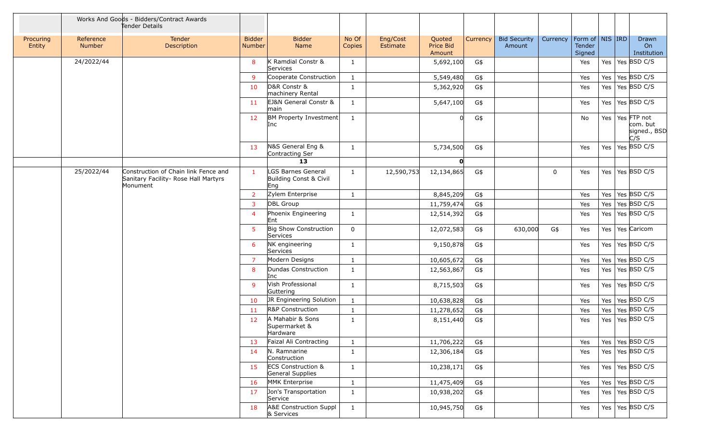|                     |                     | Works And Goods - Bidders/Contract Awards<br>Tender Details                              |                         |                                                     |                 |                      |                               |          |                               |             |                                         |         |                                                |
|---------------------|---------------------|------------------------------------------------------------------------------------------|-------------------------|-----------------------------------------------------|-----------------|----------------------|-------------------------------|----------|-------------------------------|-------------|-----------------------------------------|---------|------------------------------------------------|
| Procuring<br>Entity | Reference<br>Number | Tender<br>Description                                                                    | <b>Bidder</b><br>Number | <b>Bidder</b><br>Name                               | No Of<br>Copies | Eng/Cost<br>Estimate | Quoted<br>Price Bid<br>Amount | Currency | <b>Bid Security</b><br>Amount | Currency    | Form of   NIS   IRD<br>Tender<br>Signed |         | Drawn<br>On<br>Institution                     |
|                     | 24/2022/44          |                                                                                          | 8                       | K Ramdial Constr &<br>Services                      | 1               |                      | 5,692,100                     | G\$      |                               |             | Yes                                     | Yes     | Yes BSD C/S                                    |
|                     |                     |                                                                                          | -9                      | Cooperate Construction                              | 1               |                      | 5,549,480                     | G\$      |                               |             | Yes                                     | Yes     | Yes BSD C/S                                    |
|                     |                     |                                                                                          | 10                      | D&R Constr &<br>machinery Rental                    | $\mathbf{1}$    |                      | 5,362,920                     | G\$      |                               |             | Yes                                     | Yes     | Yes $BSD C/S$                                  |
|                     |                     |                                                                                          | 11                      | EJ&N General Constr &<br>main                       | $\mathbf{1}$    |                      | 5,647,100                     | G\$      |                               |             | Yes                                     | Yes     | Yes BSD C/S                                    |
|                     |                     |                                                                                          | 12                      | BM Property Investment<br>Inc                       | 1               |                      | 0                             | G\$      |                               |             | No                                      | Yes     | Yes FTP not<br>com. but<br>signed., BSD<br>c/s |
|                     |                     |                                                                                          | 13                      | N&S General Eng &<br>Contracting Ser                | 1               |                      | 5,734,500                     | G\$      |                               |             | Yes                                     | Yes     | Yes BSD C/S                                    |
|                     |                     |                                                                                          |                         | 13                                                  |                 |                      | $\mathbf{0}$                  |          |                               |             |                                         |         |                                                |
|                     | 25/2022/44          | Construction of Chain link Fence and<br>Sanitary Facility- Rose Hall Martyrs<br>Monument | $\mathbf{1}$            | LGS Barnes General<br>Building Const & Civil<br>Eng | $\mathbf{1}$    | 12,590,753           | 12,134,865                    | G\$      |                               | $\mathbf 0$ | Yes                                     | Yes     | Yes BSD C/S                                    |
|                     |                     |                                                                                          | 2                       | Zylem Enterprise                                    | 1               |                      | 8,845,209                     | G\$      |                               |             | Yes                                     | Yes     | Yes BSD C/S                                    |
|                     |                     |                                                                                          | $\overline{\mathbf{3}}$ | DBL Group                                           |                 |                      | 11,759,474                    | G\$      |                               |             | Yes                                     | Yes     | Yes $BSD C/S$                                  |
|                     |                     |                                                                                          | $\overline{4}$          | Phoenix Engineering<br>Ent                          | $\mathbf{1}$    |                      | 12,514,392                    | G\$      |                               |             | Yes                                     |         | Yes   Yes   BSD C/S                            |
|                     |                     |                                                                                          | 5                       | Big Show Construction<br>Services                   | $\mathbf 0$     |                      | 12,072,583                    | G\$      | 630,000                       | G\$         | Yes                                     | Yes     | Yes Caricom                                    |
|                     |                     |                                                                                          | 6                       | NK engineering<br>Services                          | 1               |                      | 9,150,878                     | G\$      |                               |             | Yes                                     | Yes     | Yes $BSD C/S$                                  |
|                     |                     |                                                                                          | $\overline{7}$          | Modern Designs                                      | 1               |                      | 10,605,672                    | G\$      |                               |             | Yes                                     | Yes     | Yes $BSD C/S$                                  |
|                     |                     |                                                                                          | 8                       | Dundas Construction<br>Inc                          | 1               |                      | 12,563,867                    | G\$      |                               |             | Yes                                     | Yes     | Yes BSD C/S                                    |
|                     |                     |                                                                                          | -9                      | Vish Professional<br>Guttering                      | 1               |                      | 8,715,503                     | G\$      |                               |             | Yes                                     | Yes     | Yes BSD C/S                                    |
|                     |                     |                                                                                          | 10                      | JR Engineering Solution                             | 1               |                      | 10,638,828                    | G\$      |                               |             | Yes                                     | Yes     | Yes $BSD C/S$                                  |
|                     |                     |                                                                                          | 11                      | <b>R&amp;P Construction</b>                         | $\mathbf{1}$    |                      | 11,278,652                    | G\$      |                               |             | Yes                                     | Yes     | Yes BSD C/S                                    |
|                     |                     |                                                                                          | 12                      | A Mahabir & Sons<br>Supermarket &<br>Hardware       | $\mathbf{1}$    |                      | 8,151,440                     | G\$      |                               |             | Yes                                     | Yes     | Yes BSD C/S                                    |
|                     |                     |                                                                                          | 13                      | Faizal Ali Contracting                              | $\mathbf{1}$    |                      | 11,706,222                    | G\$      |                               |             | Yes                                     |         | Yes   Yes   BSD C/S                            |
|                     |                     |                                                                                          | 14                      | N. Ramnarine<br>Construction                        | $\mathbf{1}$    |                      | 12,306,184                    | G\$      |                               |             | Yes                                     |         | Yes   Yes   BSD C/S                            |
|                     |                     |                                                                                          | 15                      | <b>ECS Construction &amp;</b><br>General Supplies   | $\mathbf{1}$    |                      | 10,238,171                    | G\$      |                               |             | Yes                                     | Yes     | Yes BSD C/S                                    |
|                     |                     |                                                                                          | 16                      | MMK Enterprise                                      | $\mathbf{1}$    |                      | 11,475,409                    | G\$      |                               |             | Yes                                     | Yes $ $ | Yes $BSD C/S$                                  |
|                     |                     |                                                                                          | 17                      | Jon's Transportation<br>Service                     | 1               |                      | 10,938,202                    | G\$      |                               |             | Yes                                     |         | Yes   Yes   BSD C/S                            |
|                     |                     |                                                                                          | 18                      | A&E Construction Suppl<br>& Services                | $\mathbf{1}$    |                      | 10,945,750                    | G\$      |                               |             | Yes                                     |         | Yes   Yes   BSD C/S                            |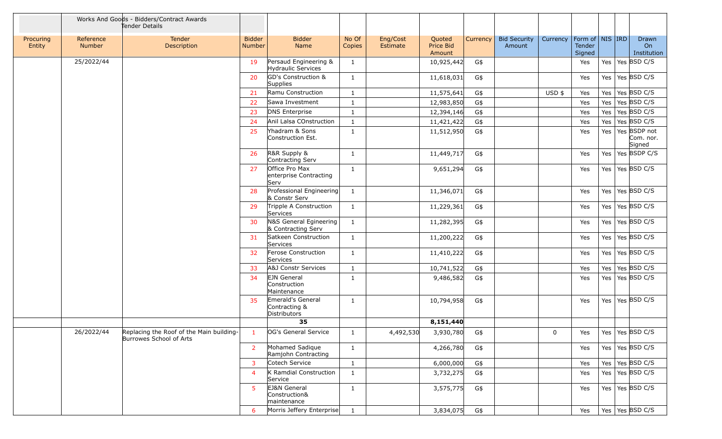|                     |                            | Works And Goods - Bidders/Contract Awards<br>Tender Details         |                                |                                                    |                 |                      |                               |          |                               |              |                                                 |         |                                     |
|---------------------|----------------------------|---------------------------------------------------------------------|--------------------------------|----------------------------------------------------|-----------------|----------------------|-------------------------------|----------|-------------------------------|--------------|-------------------------------------------------|---------|-------------------------------------|
| Procuring<br>Entity | Reference<br><b>Number</b> | Tender<br>Description                                               | <b>Bidder</b><br><b>Number</b> | <b>Bidder</b><br>Name                              | No Of<br>Copies | Eng/Cost<br>Estimate | Quoted<br>Price Bid<br>Amount | Currency | <b>Bid Security</b><br>Amount | Currency     | $ $ Form of $ $ NIS $ $ IRD<br>Tender<br>Signed |         | Drawn<br>On<br>Institution          |
|                     | 25/2022/44                 |                                                                     | 19                             | Persaud Engineering &<br><b>Hydraulic Services</b> | $\mathbf{1}$    |                      | 10,925,442                    | G\$      |                               |              | Yes                                             | Yes     | Yes BSD C/S                         |
|                     |                            |                                                                     | 20                             | GD's Construction &<br>Supplies                    | $\mathbf{1}$    |                      | 11,618,031                    | G\$      |                               |              | Yes                                             | Yes     | $\vert$ Yes BSD C/S                 |
|                     |                            |                                                                     | 21                             | Ramu Construction                                  | $\mathbf{1}$    |                      | 11,575,641                    | G\$      |                               | $USD$ \$     | Yes                                             | Yes     | Yes BSD C/S                         |
|                     |                            |                                                                     | 22                             | Sawa Investment                                    | 1               |                      | 12,983,850                    | G\$      |                               |              | Yes                                             | Yes     | Yes $BSD C/S$                       |
|                     |                            |                                                                     | 23                             | DNS Enterprise                                     | 1               |                      | 12,394,146                    | G\$      |                               |              | Yes                                             | Yes     | Yes $BSD C/S$                       |
|                     |                            |                                                                     | 24                             | Anil Lalsa COnstruction                            | 1               |                      | 11,421,422                    | G\$      |                               |              | Yes                                             | Yes     | Yes BSD C/S                         |
|                     |                            |                                                                     | 25                             | Yhadram & Sons<br>Construction Est.                | $\mathbf{1}$    |                      | 11,512,950                    | G\$      |                               |              | Yes                                             | Yes     | Yes BSDP not<br>Com. nor.<br>Signed |
|                     |                            |                                                                     | 26                             | R&R Supply &<br>Contracting Serv                   | $\mathbf{1}$    |                      | 11,449,717                    | G\$      |                               |              | Yes                                             | Yes     | Yes BSDP C/S                        |
|                     |                            |                                                                     | 27                             | Office Pro Max<br>enterprise Contracting<br>Serv   | $\mathbf{1}$    |                      | 9,651,294                     | G\$      |                               |              | Yes                                             |         | Yes   Yes   BSD C/S                 |
|                     |                            |                                                                     | 28                             | Professional Engineering<br>& Constr Serv          | $\mathbf{1}$    |                      | 11,346,071                    | G\$      |                               |              | Yes                                             | Yes     | $\vert$ Yes BSD C/S                 |
|                     |                            |                                                                     | 29                             | Tripple A Construction<br>Services                 | $\mathbf{1}$    |                      | 11,229,361                    | G\$      |                               |              | Yes                                             | Yes     | Yes BSD C/S                         |
|                     |                            |                                                                     | 30                             | N&S General Egineering<br>& Contracting Serv       | $\mathbf{1}$    |                      | 11,282,395                    | G\$      |                               |              | Yes                                             | Yes $ $ | Yes BSD C/S                         |
|                     |                            |                                                                     | 31                             | Satkeen Construction<br>Services                   | $\mathbf{1}$    |                      | 11,200,222                    | G\$      |                               |              | Yes                                             | Yes     | Yes $BSD C/S$                       |
|                     |                            |                                                                     | 32                             | Ferose Construction<br>Services                    | $\mathbf{1}$    |                      | 11,410,222                    | G\$      |                               |              | Yes                                             | Yes     | Yes $ $ BSD C/S                     |
|                     |                            |                                                                     | 33                             | A&J Constr Services                                | 1               |                      | 10,741,522                    | G\$      |                               |              | Yes                                             | Yes     | Yes BSD C/S                         |
|                     |                            |                                                                     | 34                             | <b>EJN</b> General<br>Construction<br>Maintenance  | $\mathbf{1}$    |                      | 9,486,582                     | G\$      |                               |              | Yes                                             | Yes     | Yes $BSD C/S$                       |
|                     |                            |                                                                     | 35                             | Emerald's General<br>Contracting &<br>Distributors | $\mathbf{1}$    |                      | 10,794,958                    | G\$      |                               |              | Yes                                             | Yes     | $\vert$ Yes $\vert$ BSD C/S         |
|                     |                            |                                                                     |                                | 35                                                 |                 |                      | 8,151,440                     |          |                               |              |                                                 |         |                                     |
|                     | 26/2022/44                 | Replacing the Roof of the Main building-<br>Burrowes School of Arts | $\blacksquare$                 | OG's General Service                               | $\mathbf{1}$    | 4,492,530            | 3,930,780                     | G\$      |                               | $\mathbf{0}$ | Yes                                             |         | Yes   Yes   BSD C/S                 |
|                     |                            |                                                                     | 2                              | Mohamed Sadique<br>Ramjohn Contracting             | $\mathbf{1}$    |                      | 4,266,780                     | G\$      |                               |              | Yes                                             |         | Yes   Yes   BSD C/S                 |
|                     |                            |                                                                     | 3                              | Cotech Service                                     | $\mathbf{1}$    |                      | 6,000,000                     | G\$      |                               |              | Yes                                             |         | Yes   Yes   BSD C/S                 |
|                     |                            |                                                                     | $\overline{4}$                 | K Ramdial Construction<br>Service                  | $\mathbf{1}$    |                      | 3,732,275                     | G\$      |                               |              | Yes                                             |         | Yes   Yes   BSD C/S                 |
|                     |                            |                                                                     | 5                              | EJ&N General<br>Construction&<br>maintenance       | $\mathbf{1}$    |                      | 3,575,775                     | G\$      |                               |              | Yes                                             |         | Yes   Yes   BSD C/S                 |
|                     |                            |                                                                     | 6                              | Morris Jeffery Enterprise                          | $\mathbf{1}$    |                      | 3,834,075                     | G\$      |                               |              | Yes                                             |         | Yes   Yes   BSD C/S                 |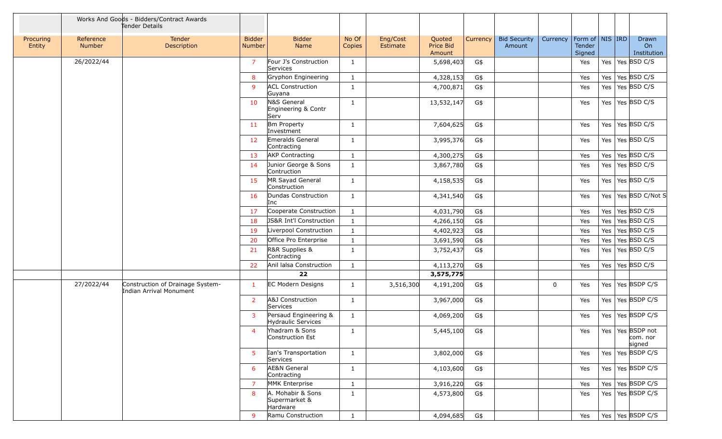|                     |                     | Works And Goods - Bidders/Contract Awards<br>Tender Details |                                |                                                    |                 |                      |                               |          |                               |             |                                         |         |                                    |
|---------------------|---------------------|-------------------------------------------------------------|--------------------------------|----------------------------------------------------|-----------------|----------------------|-------------------------------|----------|-------------------------------|-------------|-----------------------------------------|---------|------------------------------------|
| Procuring<br>Entity | Reference<br>Number | Tender<br>Description                                       | <b>Bidder</b><br><b>Number</b> | <b>Bidder</b><br>Name                              | No Of<br>Copies | Eng/Cost<br>Estimate | Quoted<br>Price Bid<br>Amount | Currency | <b>Bid Security</b><br>Amount | Currency    | Form of   NIS   IRD<br>Tender<br>Signed |         | Drawn<br>On<br>Institution         |
|                     | 26/2022/44          |                                                             | $\overline{7}$                 | Four J's Construction<br>Services                  | 1               |                      | 5,698,403                     | G\$      |                               |             | Yes                                     | Yes     | Yes BSD C/S                        |
|                     |                     |                                                             | 8                              | Gryphon Engineering                                | 1               |                      | 4,328,153                     | G\$      |                               |             | Yes                                     | Yes     | Yes BSD C/S                        |
|                     |                     |                                                             | 9                              | <b>ACL Construction</b><br>Guyana                  | 1               |                      | 4,700,871                     | G\$      |                               |             | Yes                                     | Yes     | Yes $BSD C/S$                      |
|                     |                     |                                                             | 10                             | N&S General<br>Engineering & Contr<br>Serv         | 1               |                      | 13,532,147                    | G\$      |                               |             | Yes                                     | Yes     | Yes BSD C/S                        |
|                     |                     |                                                             | 11                             | <b>Bm Property</b><br>Investment                   | 1               |                      | 7,604,625                     | G\$      |                               |             | Yes                                     | Yes     | Yes $BSD C/S$                      |
|                     |                     |                                                             | 12                             | Emeralds General<br>Contracting                    | $\mathbf{1}$    |                      | 3,995,376                     | G\$      |                               |             | Yes                                     | Yes     | Yes BSD C/S                        |
|                     |                     |                                                             | 13                             | <b>AKP Contracting</b>                             | 1               |                      | 4,300,275                     | G\$      |                               |             | Yes                                     | Yes     | Yes BSD C/S                        |
|                     |                     |                                                             | 14                             | Junior George & Sons<br>Contruction                | 1               |                      | 3,867,780                     | G\$      |                               |             | Yes                                     | Yes $ $ | Yes $BSD C/S$                      |
|                     |                     |                                                             | 15                             | MR Sayad General<br>Construction                   | 1               |                      | 4,158,535                     | G\$      |                               |             | Yes                                     | Yes     | Yes BSD C/S                        |
|                     |                     |                                                             | 16                             | Dundas Construction<br>Inc                         | $\mathbf{1}$    |                      | 4,341,540                     | G\$      |                               |             | Yes                                     |         | Yes   Yes   BSD C/Not S            |
|                     |                     |                                                             | 17                             | Cooperate Construction                             | $\mathbf{1}$    |                      | 4,031,790                     | G\$      |                               |             | Yes                                     | Yes     | Yes BSD C/S                        |
|                     |                     |                                                             | 18                             | JS&R Int'l Construction                            | $\mathbf{1}$    |                      | 4,266,150                     | G\$      |                               |             | Yes                                     | Yes     | Yes BSD C/S                        |
|                     |                     |                                                             | 19                             | Liverpool Construction                             | $\mathbf{1}$    |                      | 4,402,923                     | G\$      |                               |             | Yes                                     | Yes     | Yes BSD C/S                        |
|                     |                     |                                                             | 20                             | Office Pro Enterprise                              | 1               |                      | 3,691,590                     | G\$      |                               |             | Yes                                     | Yes     | Yes BSD C/S                        |
|                     |                     |                                                             | 21                             | R&R Supplies &<br>Contracting                      | $\mathbf{1}$    |                      | 3,752,437                     | G\$      |                               |             | Yes                                     | Yes     | Yes $BSD C/S$                      |
|                     |                     |                                                             | 22                             | Anil lalsa Construction                            | $\mathbf{1}$    |                      | 4,113,270                     | G\$      |                               |             | Yes                                     | Yes     | Yes BSD C/S                        |
|                     |                     |                                                             |                                | 22                                                 |                 |                      | 3,575,775                     |          |                               |             |                                         |         |                                    |
|                     | 27/2022/44          | Construction of Drainage System-<br>Indian Arrival Monument | -1                             | <b>EC Modern Designs</b>                           | 1               | 3,516,300            | 4,191,200                     | G\$      |                               | $\mathbf 0$ | Yes                                     | Yes $ $ | Yes BSDP C/S                       |
|                     |                     |                                                             | 2                              | A&J Construction<br>Services                       | 1               |                      | 3,967,000                     | G\$      |                               |             | Yes                                     | Yes     | Yes BSDP C/S                       |
|                     |                     |                                                             | 3                              | Persaud Engineering &<br><b>Hydraulic Services</b> | $\mathbf{1}$    |                      | 4,069,200                     | G\$      |                               |             | Yes                                     | Yes $ $ | Yes BSDP C/S                       |
|                     |                     |                                                             | 4                              | Yhadram & Sons<br>Construction Est                 | $\mathbf{1}$    |                      | 5,445,100                     | G\$      |                               |             | Yes                                     | Yes     | Yes BSDP not<br>com. nor<br>signed |
|                     |                     |                                                             | 5                              | Ian's Transportation<br>Services                   | $\mathbf{1}$    |                      | 3,802,000                     | G\$      |                               |             | Yes                                     |         | Yes   Yes   BSDP C/S               |
|                     |                     |                                                             | 6                              | AE&N General<br>Contracting                        | 1               |                      | 4,103,600                     | G\$      |                               |             | Yes                                     | Yes $ $ | Yes BSDP C/S                       |
|                     |                     |                                                             | 7                              | MMK Enterprise                                     | 1               |                      | 3,916,220                     | G\$      |                               |             | Yes                                     | Yes     | Yes BSDP C/S                       |
|                     |                     |                                                             | 8                              | A. Mohabir & Sons<br>Supermarket &<br>Hardware     | $\mathbf{1}$    |                      | 4,573,800                     | G\$      |                               |             | Yes                                     |         | Yes   Yes   BSDP C/S               |
|                     |                     |                                                             | 9                              | Ramu Construction                                  | $\mathbf{1}$    |                      | 4,094,685                     | G\$      |                               |             | Yes                                     |         | Yes   Yes   BSDP C/S               |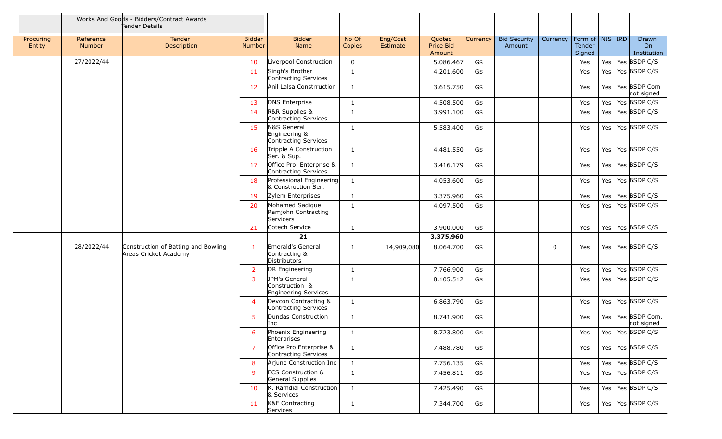|                     |                     | Works And Goods - Bidders/Contract Awards<br>Tender Details  |                                |                                                           |                 |                      |                                      |          |                               |             |                                         |         |                             |
|---------------------|---------------------|--------------------------------------------------------------|--------------------------------|-----------------------------------------------------------|-----------------|----------------------|--------------------------------------|----------|-------------------------------|-------------|-----------------------------------------|---------|-----------------------------|
| Procuring<br>Entity | Reference<br>Number | Tender<br>Description                                        | <b>Bidder</b><br><b>Number</b> | <b>Bidder</b><br>Name                                     | No Of<br>Copies | Eng/Cost<br>Estimate | Quoted<br><b>Price Bid</b><br>Amount | Currency | <b>Bid Security</b><br>Amount | Currency    | Form of   NIS   IRD<br>Tender<br>Signed |         | Drawn<br>On<br>Institution  |
|                     | 27/2022/44          |                                                              | 10                             | Liverpool Construction                                    | $\mathbf 0$     |                      | 5,086,467                            | G\$      |                               |             | Yes                                     | Yes     | Yes BSDP C/S                |
|                     |                     |                                                              | 11                             | Singh's Brother<br>Contracting Services                   | 1               |                      | 4,201,600                            | G\$      |                               |             | Yes                                     | Yes $ $ | Yes BSDP C/S                |
|                     |                     |                                                              | 12                             | Anil Lalsa Constrruction                                  | 1               |                      | 3,615,750                            | G\$      |                               |             | Yes                                     | Yes $ $ | Yes BSDP Com<br>not signed  |
|                     |                     |                                                              | 13                             | <b>DNS Enterprise</b>                                     | 1               |                      | 4,508,500                            | G\$      |                               |             | Yes                                     | Yes     | Yes BSDP C/S                |
|                     |                     |                                                              | 14                             | R&R Supplies &<br>Contracting Services                    | 1               |                      | 3,991,100                            | G\$      |                               |             | Yes                                     | Yes     | Yes BSDP C/S                |
|                     |                     |                                                              | 15                             | N&S General<br>Engineering &<br>Contracting Services      | 1               |                      | 5,583,400                            | G\$      |                               |             | Yes                                     |         | Yes   Yes   BSDP C/S        |
|                     |                     |                                                              | 16                             | Tripple A Construction<br>Ser. & Sup.                     | 1               |                      | 4,481,550                            | G\$      |                               |             | Yes                                     | Yes     | Yes BSDP C/S                |
|                     |                     |                                                              | 17                             | Office Pro. Enterprise &<br>Contracting Services          | 1               |                      | 3,416,179                            | G\$      |                               |             | Yes                                     | Yes     | Yes BSDP C/S                |
|                     |                     |                                                              | 18                             | Professional Engineering<br>& Construction Ser.           | 1               |                      | 4,053,600                            | G\$      |                               |             | Yes                                     | Yes     | Yes BSDP C/S                |
|                     |                     |                                                              | 19                             | Zylem Enterprises                                         | $\mathbf{1}$    |                      | 3,375,960                            | G\$      |                               |             | Yes                                     | Yes     | Yes BSDP C/S                |
|                     |                     |                                                              | 20                             | Mohamed Sadique<br>Ramjohn Contracting<br>Servicers       | $\mathbf{1}$    |                      | 4,097,500                            | G\$      |                               |             | Yes                                     | Yes     | Yes BSDP C/S                |
|                     |                     |                                                              | 21                             | Cotech Service                                            | $\mathbf{1}$    |                      | 3,900,000                            | G\$      |                               |             | Yes                                     | Yes     | Yes BSDP C/S                |
|                     |                     |                                                              |                                | 21                                                        |                 |                      | 3,375,960                            |          |                               |             |                                         |         |                             |
|                     | 28/2022/44          | Construction of Batting and Bowling<br>Areas Cricket Academy | $\mathbf{1}$                   | Emerald's General<br>Contracting &<br><b>Distributors</b> | 1               | 14,909,080           | 8,064,700                            | G\$      |                               | $\mathbf 0$ | Yes                                     |         | Yes   Yes   BSDP C/S        |
|                     |                     |                                                              | $\overline{2}$                 | DR Engineering                                            | $\mathbf{1}$    |                      | 7,766,900                            | G\$      |                               |             | Yes                                     | Yes     | Yes BSDP C/S                |
|                     |                     |                                                              | 3                              | JPM's General<br>Construction &<br>Engineering Services   | $\mathbf{1}$    |                      | 8,105,512                            | G\$      |                               |             | Yes                                     | Yes     | Yes BSDP C/S                |
|                     |                     |                                                              | $\overline{4}$                 | Devcon Contracting &<br>Contracting Services              | $\mathbf{1}$    |                      | 6,863,790                            | G\$      |                               |             | Yes                                     | Yes     | Yes BSDP C/S                |
|                     |                     |                                                              | 5                              | Dundas Construction<br>Inc                                | 1               |                      | 8,741,900                            | G\$      |                               |             | Yes                                     | Yes $ $ | Yes BSDP Com.<br>not signed |
|                     |                     |                                                              | 6                              | Phoenix Engineering<br>Enterprises                        | $\mathbf{1}$    |                      | 8,723,800                            | G\$      |                               |             | Yes                                     |         | Yes   Yes   BSDP C/S        |
|                     |                     |                                                              | $\overline{7}$                 | Office Pro Enterprise &<br>Contracting Services           | $\mathbf{1}$    |                      | 7,488,780                            | G\$      |                               |             | Yes                                     |         | Yes   Yes   BSDP C/S        |
|                     |                     |                                                              | 8                              | Arjune Construction Inc                                   | $\mathbf{1}$    |                      | 7,756,135                            | G\$      |                               |             | Yes                                     |         | Yes   Yes   BSDP C/S        |
|                     |                     |                                                              | -9                             | <b>ECS Construction &amp;</b><br>General Supplies         | $\mathbf{1}$    |                      | 7,456,811                            | G\$      |                               |             | Yes                                     |         | Yes   Yes   BSDP C/S        |
|                     |                     |                                                              | 10                             | K. Ramdial Construction<br>& Services                     | $\mathbf{1}$    |                      | 7,425,490                            | G\$      |                               |             | Yes                                     |         | Yes   Yes   BSDP C/S        |
|                     |                     |                                                              | 11                             | K&F Contracting<br>Services                               | $\mathbf{1}$    |                      | 7,344,700                            | G\$      |                               |             | Yes                                     |         | Yes   Yes   BSDP C/S        |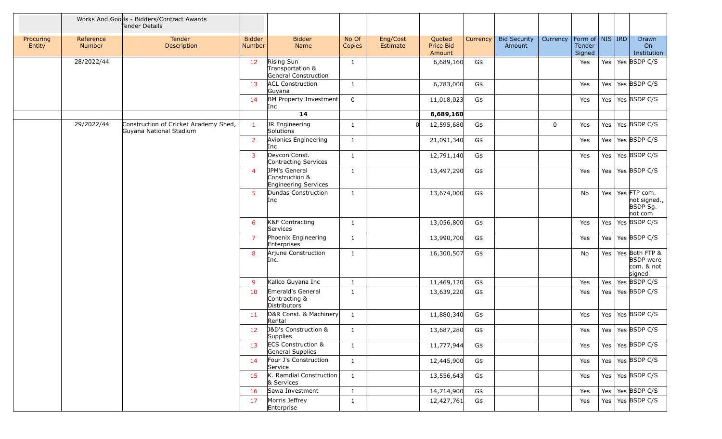|                     |                                                                                | Works And Goods - Bidders/Contract Awards<br>Tender Details |                         |                                                         |                 |                      |                               |          |                               |          |                                         |     |                                                            |
|---------------------|--------------------------------------------------------------------------------|-------------------------------------------------------------|-------------------------|---------------------------------------------------------|-----------------|----------------------|-------------------------------|----------|-------------------------------|----------|-----------------------------------------|-----|------------------------------------------------------------|
| Procuring<br>Entity | Reference<br>Number                                                            | Tender<br>Description                                       | <b>Bidder</b><br>Number | <b>Bidder</b><br>Name                                   | No Of<br>Copies | Eng/Cost<br>Estimate | Quoted<br>Price Bid<br>Amount | Currency | <b>Bid Security</b><br>Amount | Currency | Form of   NIS   IRD<br>Tender<br>Signed |     | Drawn<br>On<br>Institution                                 |
|                     | 28/2022/44                                                                     |                                                             | 12 <sub>2</sub>         | Rising Sun<br>Transportation &<br>General Construction  | 1               |                      | 6,689,160                     | G\$      |                               |          | Yes                                     |     | Yes   Yes   BSDP C/S                                       |
|                     |                                                                                |                                                             | 13                      | <b>ACL Construction</b><br>Guyana                       | $\mathbf{1}$    |                      | 6,783,000                     | G\$      |                               |          | Yes                                     |     | Yes   Yes   BSDP C/S                                       |
|                     |                                                                                |                                                             | 14                      | BM Property Investment<br>Inc                           | $\mathbf 0$     |                      | 11,018,023                    | G\$      |                               |          | Yes                                     |     | Yes   Yes   BSDP C/S                                       |
|                     |                                                                                |                                                             |                         | 14                                                      |                 |                      | 6,689,160                     |          |                               |          |                                         |     |                                                            |
|                     | 29/2022/44<br>Construction of Cricket Academy Shed,<br>Guyana National Stadium |                                                             | $\mathbf{1}$            | JR Engineering<br>Solutions                             | 1               |                      | 12,595,680                    | G\$      |                               | 0        | Yes                                     | Yes | Yes BSDP C/S                                               |
|                     |                                                                                |                                                             | $\overline{2}$          | Avionics Engineering<br>Inc                             | $\mathbf{1}$    |                      | 21,091,340                    | G\$      |                               |          | Yes                                     | Yes | $\vert$ Yes BSDP C/S                                       |
|                     |                                                                                |                                                             | $\overline{3}$          | Devcon Const.<br>Contracting Services                   | $\mathbf{1}$    |                      | 12,791,140                    | G\$      |                               |          | Yes                                     |     | Yes   Yes   BSDP C/S                                       |
|                     |                                                                                |                                                             | $\overline{4}$          | JPM's General<br>Construction &<br>Engineering Services | 1               |                      | 13,497,290                    | G\$      |                               |          | Yes                                     |     | Yes   Yes   BSDP C/S                                       |
|                     |                                                                                |                                                             | 5                       | Dundas Construction<br>Inc                              | 1               |                      | 13,674,000                    | G\$      |                               |          | No                                      | Yes | Yes FTP com.<br>not signed.,<br>BSDP Sg.<br>not com        |
|                     |                                                                                |                                                             | 6                       | K&F Contracting<br>Services                             | 1               |                      | 13,056,800                    | G\$      |                               |          | Yes                                     | Yes | Yes BSDP C/S                                               |
|                     |                                                                                |                                                             | $\overline{7}$          | Phoenix Engineering<br>Enterprises                      | $\mathbf{1}$    |                      | 13,990,700                    | G\$      |                               |          | Yes                                     | Yes | Yes BSDP C/S                                               |
|                     |                                                                                |                                                             | 8                       | Arjune Construction<br>Inc.                             | $\mathbf{1}$    |                      | 16,300,507                    | G\$      |                               |          | No                                      | Yes | Yes Both FTP &<br><b>BSDP</b> were<br>com. & not<br>signed |
|                     |                                                                                |                                                             | -9                      | Kallco Guyana Inc                                       | <sup>1</sup>    |                      | 11,469,120                    | G\$      |                               |          | Yes                                     | Yes | Yes BSDP C/S                                               |
|                     |                                                                                |                                                             | 10                      | Emerald's General<br>Contracting &<br>Distributors      | $\mathbf{1}$    |                      | 13,639,220                    | G\$      |                               |          | Yes                                     | Yes | $\vert$ Yes BSDP C/S                                       |
|                     |                                                                                |                                                             | 11                      | D&R Const. & Machinery<br>Rental                        | 1               |                      | 11,880,340                    | G\$      |                               |          | Yes                                     | Yes | Yes BSDP C/S                                               |
|                     |                                                                                |                                                             | 12                      | J&D's Construction &<br>Supplies                        | $\mathbf{1}$    |                      | 13,687,280                    | G\$      |                               |          | Yes                                     |     | Yes   Yes   BSDP C/S                                       |
|                     |                                                                                |                                                             | 13                      | <b>ECS Construction &amp;</b><br>General Supplies       | $\mathbf{1}$    |                      | 11,777,944                    | G\$      |                               |          | Yes                                     |     | Yes   Yes   BSDP C/S                                       |
|                     |                                                                                |                                                             | 14                      | Four J's Construction<br>Service                        | $\mathbf{1}$    |                      | 12,445,900                    | G\$      |                               |          | Yes                                     |     | Yes   Yes   BSDP C/S                                       |
|                     |                                                                                |                                                             | 15                      | K. Ramdial Construction<br>& Services                   | $\mathbf{1}$    |                      | 13,556,643                    | G\$      |                               |          | Yes                                     |     | Yes   Yes   BSDP C/S                                       |
|                     |                                                                                |                                                             | 16                      | Sawa Investment                                         | $\mathbf{1}$    |                      | 14,714,900                    | G\$      |                               |          | Yes                                     | Yes | Yes BSDP C/S                                               |
|                     |                                                                                |                                                             | 17                      | Morris Jeffrey<br>Enterprise                            | $\mathbf{1}$    |                      | 12,427,761                    | G\$      |                               |          | Yes                                     |     | Yes   Yes   BSDP C/S                                       |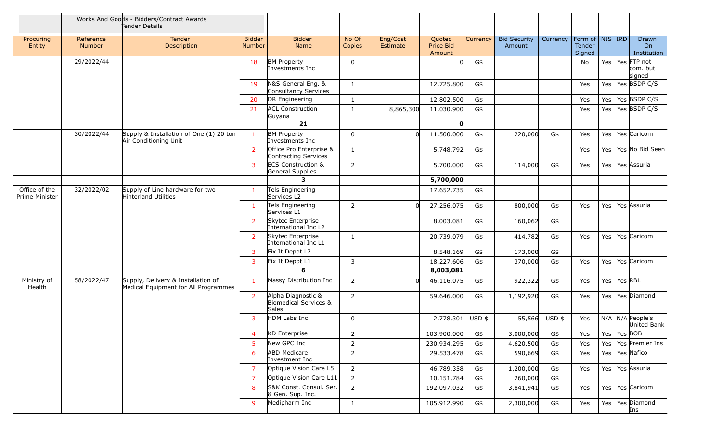|                                 |                            | Works And Goods - Bidders/Contract Awards<br>Tender Details                |                                |                                                             |                 |                      |                               |          |                               |          |                                         |                             |         |                                   |
|---------------------------------|----------------------------|----------------------------------------------------------------------------|--------------------------------|-------------------------------------------------------------|-----------------|----------------------|-------------------------------|----------|-------------------------------|----------|-----------------------------------------|-----------------------------|---------|-----------------------------------|
| Procuring<br>Entity             | Reference<br><b>Number</b> | Tender<br>Description                                                      | <b>Bidder</b><br><b>Number</b> | <b>Bidder</b><br>Name                                       | No Of<br>Copies | Eng/Cost<br>Estimate | Quoted<br>Price Bid<br>Amount | Currency | <b>Bid Security</b><br>Amount | Currency | Form of   NIS   IRD<br>Tender<br>Signed |                             |         | Drawn<br>On<br>Institution        |
|                                 | 29/2022/44                 |                                                                            | 18                             | <b>BM Property</b><br>Investments Inc                       | 0               |                      | U                             | G\$      |                               |          | No                                      | Yes                         |         | Yes FTP not<br>com. but<br>signed |
|                                 |                            |                                                                            | 19                             | N&S General Eng. &<br>Consultancy Services                  | 1               |                      | 12,725,800                    | G\$      |                               |          | Yes                                     | Yes                         |         | Yes BSDP C/S                      |
|                                 |                            |                                                                            | 20                             | DR Engineering                                              | $\mathbf{1}$    |                      | 12,802,500                    | G\$      |                               |          | Yes                                     | Yes                         |         | Yes BSDP C/S                      |
|                                 |                            |                                                                            | 21                             | <b>ACL Construction</b><br>Guyana                           | 1               | 8,865,300            | 11,030,900                    | G\$      |                               |          | Yes                                     | Yes                         |         | Yes BSDP C/S                      |
|                                 |                            |                                                                            |                                | 21                                                          |                 |                      | O                             |          |                               |          |                                         |                             |         |                                   |
|                                 | 30/2022/44                 | Supply & Installation of One (1) 20 ton<br>Air Conditioning Unit           | 1                              | <b>BM Property</b><br>Investments Inc                       | $\mathbf 0$     |                      | 11,500,000                    | G\$      | 220,000                       | G\$      | Yes                                     | Yes                         |         | Yes Caricom                       |
|                                 |                            |                                                                            | 2                              | Office Pro Enterprise &<br>Contracting Services             | 1               |                      | 5,748,792                     | G\$      |                               |          | Yes                                     | Yes                         |         | Yes No Bid Seen                   |
|                                 |                            |                                                                            | 3                              | <b>ECS Construction &amp;</b><br>General Supplies           | $\overline{2}$  |                      | 5,700,000                     | G\$      | 114,000                       | G\$      | Yes                                     | Yes                         |         | Yes Assuria                       |
|                                 |                            |                                                                            |                                | З.                                                          |                 |                      | 5,700,000                     |          |                               |          |                                         |                             |         |                                   |
| Office of the<br>Prime Minister | 32/2022/02                 | Supply of Line hardware for two<br>Hinterland Utilities                    | -1                             | Tels Engineering<br>Services L2                             |                 |                      | 17,652,735                    | G\$      |                               |          |                                         |                             |         |                                   |
|                                 |                            |                                                                            | -1                             | Tels Engineering<br>Services L1                             | $\overline{2}$  |                      | 27,256,075                    | G\$      | 800,000                       | G\$      | Yes                                     | Yes                         |         | Yes Assuria                       |
|                                 |                            |                                                                            | 2                              | Skytec Enterprise<br>International Inc L2                   |                 |                      | 8,003,081                     | G\$      | 160,062                       | G\$      |                                         |                             |         |                                   |
|                                 |                            |                                                                            | 2                              | Skytec Enterprise<br>International Inc L1                   | 1               |                      | 20,739,079                    | G\$      | 414,782                       | G\$      | Yes                                     | Yes                         |         | Yes Caricom                       |
|                                 |                            |                                                                            | 3                              | Fix It Depot L2                                             |                 |                      | 8,548,169                     | G\$      | 173,000                       | G\$      |                                         |                             |         |                                   |
|                                 |                            |                                                                            | 3                              | Fix It Depot L1                                             | 3               |                      | 18,227,606                    | G\$      | 370,000                       | G\$      | Yes                                     | Yes                         |         | Yes Caricom                       |
|                                 |                            |                                                                            |                                | 6                                                           |                 |                      | 8,003,081                     |          |                               |          |                                         |                             |         |                                   |
| Ministry of<br>Health           | 58/2022/47                 | Supply, Delivery & Installation of<br>Medical Equipment for All Programmes | 1                              | Massy Distribution Inc                                      | $\overline{2}$  |                      | 46,116,075                    | G\$      | 922,322                       | G\$      | Yes                                     | Yes                         | Yes RBL |                                   |
|                                 |                            |                                                                            | 2                              | Alpha Diagnostic &<br>Biomedical Services &<br><b>Sales</b> | $\overline{2}$  |                      | 59,646,000                    | G\$      | 1,192,920                     | G\$      | Yes                                     | Yes                         |         | Yes Diamond                       |
|                                 |                            |                                                                            | 3                              | HDM Labs Inc                                                | $\Omega$        |                      | 2,778,301                     | USD \$   | 55,566                        | USD \$   | Yes                                     |                             |         | $N/A$ N/A People's<br>United Bank |
|                                 |                            |                                                                            | $\overline{4}$                 | KD Enterprise                                               | 2               |                      | 103,900,000                   | G\$      | 3,000,000                     | G\$      | Yes                                     | Yes $\vert$ Yes $\vert$ BOB |         |                                   |
|                                 |                            |                                                                            | 5                              | New GPC Inc                                                 | $\overline{2}$  |                      | 230,934,295                   | G\$      | 4,620,500                     | G\$      | Yes                                     |                             |         | Yes   Yes   Premier Ins           |
|                                 |                            |                                                                            | -6                             | <b>ABD Medicare</b><br>Investment Inc                       | $\overline{2}$  |                      | 29,533,478                    | G\$      | 590,669                       | G\$      | Yes                                     |                             |         | Yes   Yes   Nafico                |
|                                 |                            |                                                                            | $\overline{7}$                 | Optique Vision Care L5                                      | $\overline{2}$  |                      | 46,789,358                    | G\$      | 1,200,000                     | G\$      | Yes                                     |                             |         | Yes   Yes   Assuria               |
|                                 |                            |                                                                            | 7                              | Optique Vision Care L11                                     | $\overline{2}$  |                      | 10,151,784                    | G\$      | 260,000                       | G\$      |                                         |                             |         |                                   |
|                                 |                            |                                                                            | 8                              | S&K Const. Consul. Ser.<br>& Gen. Sup. Inc.                 | $\overline{2}$  |                      | 192,097,032                   | G\$      | 3,841,941                     | G\$      | Yes                                     |                             |         | Yes   Yes   Caricom               |
|                                 |                            |                                                                            | 9                              | Medipharm Inc                                               | $\mathbf{1}$    |                      | 105,912,990                   | G\$      | 2,300,000                     | G\$      | Yes                                     |                             |         | Yes   Yes   Diamond<br>Ins        |